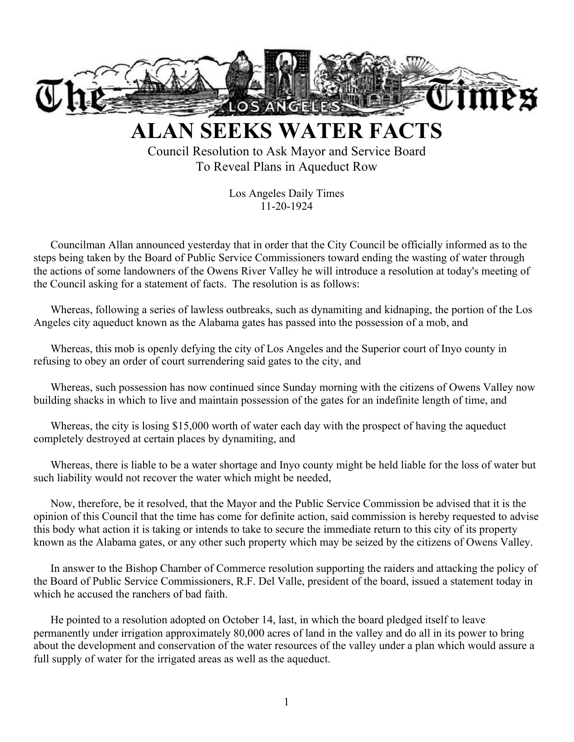

**ALAN SEEKS WATER FACTS**

Council Resolution to Ask Mayor and Service Board To Reveal Plans in Aqueduct Row

> Los Angeles Daily Times 11-20-1924

Councilman Allan announced yesterday that in order that the City Council be officially informed as to the steps being taken by the Board of Public Service Commissioners toward ending the wasting of water through the actions of some landowners of the Owens River Valley he will introduce a resolution at today's meeting of the Council asking for a statement of facts. The resolution is as follows:

Whereas, following a series of lawless outbreaks, such as dynamiting and kidnaping, the portion of the Los Angeles city aqueduct known as the Alabama gates has passed into the possession of a mob, and

Whereas, this mob is openly defying the city of Los Angeles and the Superior court of Inyo county in refusing to obey an order of court surrendering said gates to the city, and

Whereas, such possession has now continued since Sunday morning with the citizens of Owens Valley now building shacks in which to live and maintain possession of the gates for an indefinite length of time, and

Whereas, the city is losing \$15,000 worth of water each day with the prospect of having the aqueduct completely destroyed at certain places by dynamiting, and

Whereas, there is liable to be a water shortage and Inyo county might be held liable for the loss of water but such liability would not recover the water which might be needed,

Now, therefore, be it resolved, that the Mayor and the Public Service Commission be advised that it is the opinion of this Council that the time has come for definite action, said commission is hereby requested to advise this body what action it is taking or intends to take to secure the immediate return to this city of its property known as the Alabama gates, or any other such property which may be seized by the citizens of Owens Valley.

In answer to the Bishop Chamber of Commerce resolution supporting the raiders and attacking the policy of the Board of Public Service Commissioners, R.F. Del Valle, president of the board, issued a statement today in which he accused the ranchers of bad faith.

He pointed to a resolution adopted on October 14, last, in which the board pledged itself to leave permanently under irrigation approximately 80,000 acres of land in the valley and do all in its power to bring about the development and conservation of the water resources of the valley under a plan which would assure a full supply of water for the irrigated areas as well as the aqueduct.